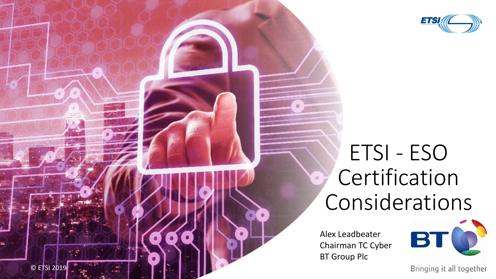

# ETSI - ESO **Certification** Considerations

Alex Leadbeater Chairman TC Cyber BT Group Plc



Bringing it all together

© ETSI 2019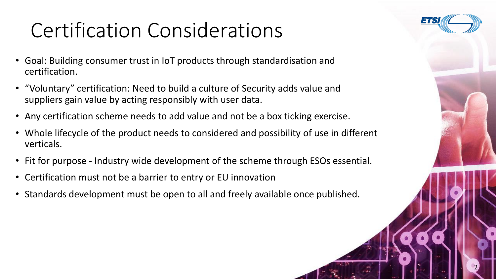# Certification Considerations

- Goal: Building consumer trust in IoT products through standardisation and certification.
- "Voluntary" certification: Need to build a culture of Security adds value and suppliers gain value by acting responsibly with user data.
- Any certification scheme needs to add value and not be a box ticking exercise.
- Whole lifecycle of the product needs to considered and possibility of use in different verticals.
- Fit for purpose Industry wide development of the scheme through ESOs essential.
- Certification must not be a barrier to entry or EU innovation
- Standards development must be open to all and freely available once published.

© ETSI 2019 2

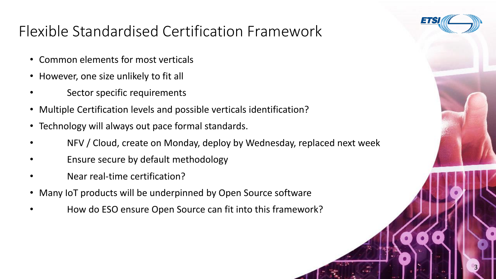

### Flexible Standardised Certification Framework

- Common elements for most verticals
- However, one size unlikely to fit all
- Sector specific requirements
- Multiple Certification levels and possible verticals identification?
- Technology will always out pace formal standards.
- NFV / Cloud, create on Monday, deploy by Wednesday, replaced next week

OF EXAMPLE 2019 12:00 12:00 12:00 12:00 12:00 12:00 12:00 12:00 12:00 12:00 12:00 12:00 12:00 12:00 12:00 12:0

- Ensure secure by default methodology
- Near real-time certification?
- Many IoT products will be underpinned by Open Source software
- How do ESO ensure Open Source can fit into this framework?